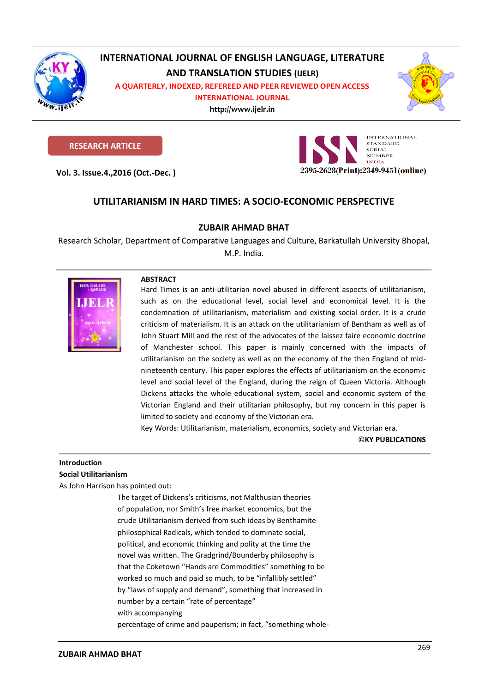

# INTERNATIONAL JOURNAL OF ENGLISH LANGUAGE, LITERATURE **AND TRANSLATION STUDIES (IJELR)**

**A QUARTERLY, INDEXED, REFEREED AND PEER REVIEWED OPEN ACCESS** 

**INTERNATIONAL JOURNAL http://www.ijelr.in**

**KY PUBLICATIONS** 



# **RESEARCH ARTICLE**

**Vol. 3. Issue.4.,2016 (Oct.-Dec. )**



# **UTILITARIANISM IN HARD TIMES: A SOCIO-ECONOMIC PERSPECTIVE**

## **ZUBAIR AHMAD BHAT**

Research Scholar, Department of Comparative Languages and Culture, Barkatullah University Bhopal, M.P. India.





Hard Times is an anti-utilitarian novel abused in different aspects of utilitarianism, such as on the educational level, social level and economical level. It is the condemnation of utilitarianism, materialism and existing social order. It is a crude criticism of materialism. It is an attack on the utilitarianism of Bentham as well as of John Stuart Mill and the rest of the advocates of the laissez faire economic doctrine of Manchester school. This paper is mainly concerned with the impacts of utilitarianism on the society as well as on the economy of the then England of midnineteenth century. This paper explores the effects of utilitarianism on the economic level and social level of the England, during the reign of Queen Victoria. Although Dickens attacks the whole educational system, social and economic system of the Victorian England and their utilitarian philosophy, but my concern in this paper is limited to society and economy of the Victorian era.

Key Words: Utilitarianism, materialism, economics, society and Victorian era.

©**KY PUBLICATIONS**

### **Introduction Social Utilitarianism**

As John Harrison has pointed out:

The target of Dickens's criticisms, not Malthusian theories of population, nor Smith's free market economics, but the crude Utilitarianism derived from such ideas by Benthamite philosophical Radicals, which tended to dominate social, political, and economic thinking and polity at the time the novel was written. The Gradgrind/Bounderby philosophy is that the Coketown "Hands are Commodities" something to be worked so much and paid so much, to be "infallibly settled" by "laws of supply and demand", something that increased in number by a certain "rate of percentage" with accompanying percentage of crime and pauperism; in fact, "something whole-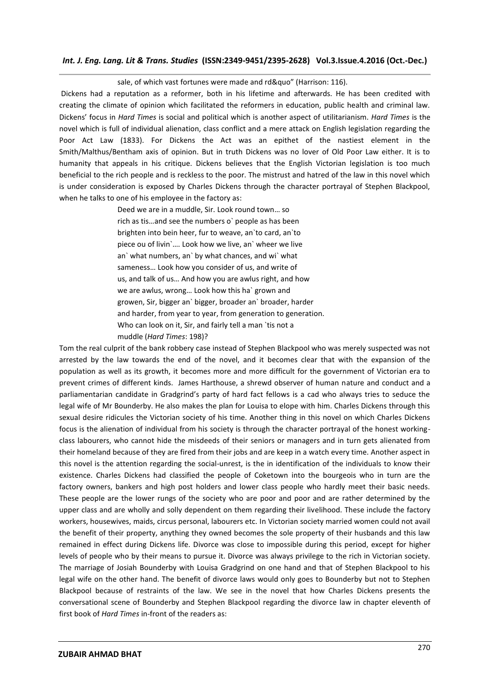#### sale, of which vast fortunes were made and rd&quo" (Harrison: 116).

Dickens had a reputation as a reformer, both in his lifetime and afterwards. He has been credited with creating the climate of opinion which facilitated the reformers in education, public health and criminal law. Dickens' focus in *Hard Times* is social and political which is another aspect of utilitarianism. *Hard Times* is the novel which is full of individual alienation, class conflict and a mere attack on English legislation regarding the Poor Act Law (1833). For Dickens the Act was an epithet of the nastiest element in the Smith/Malthus/Bentham axis of opinion. But in truth Dickens was no lover of Old Poor Law either. It is to humanity that appeals in his critique. Dickens believes that the English Victorian legislation is too much beneficial to the rich people and is reckless to the poor. The mistrust and hatred of the law in this novel which is under consideration is exposed by Charles Dickens through the character portrayal of Stephen Blackpool, when he talks to one of his employee in the factory as:

> Deed we are in a muddle, Sir. Look round town… so rich as tis…and see the numbers o` people as has been brighten into bein heer, fur to weave, an`to card, an`to piece ou of livin`…. Look how we live, an` wheer we live an` what numbers, an` by what chances, and wi` what sameness… Look how you consider of us, and write of us, and talk of us… And how you are awlus right, and how we are awlus, wrong… Look how this ha` grown and growen, Sir, bigger an` bigger, broader an` broader, harder and harder, from year to year, from generation to generation. Who can look on it, Sir, and fairly tell a man `tis not a muddle (*Hard Times*: 198)?

Tom the real culprit of the bank robbery case instead of Stephen Blackpool who was merely suspected was not arrested by the law towards the end of the novel, and it becomes clear that with the expansion of the population as well as its growth, it becomes more and more difficult for the government of Victorian era to prevent crimes of different kinds. James Harthouse, a shrewd observer of human nature and conduct and a parliamentarian candidate in Gradgrind's party of hard fact fellows is a cad who always tries to seduce the legal wife of Mr Bounderby. He also makes the plan for Louisa to elope with him. Charles Dickens through this sexual desire ridicules the Victorian society of his time. Another thing in this novel on which Charles Dickens focus is the alienation of individual from his society is through the character portrayal of the honest workingclass labourers, who cannot hide the misdeeds of their seniors or managers and in turn gets alienated from their homeland because of they are fired from their jobs and are keep in a watch every time. Another aspect in this novel is the attention regarding the social-unrest, is the in identification of the individuals to know their existence. Charles Dickens had classified the people of Coketown into the bourgeois who in turn are the factory owners, bankers and high post holders and lower class people who hardly meet their basic needs. These people are the lower rungs of the society who are poor and poor and are rather determined by the upper class and are wholly and solly dependent on them regarding their livelihood. These include the factory workers, housewives, maids, circus personal, labourers etc. In Victorian society married women could not avail the benefit of their property, anything they owned becomes the sole property of their husbands and this law remained in effect during Dickens life. Divorce was close to impossible during this period, except for higher levels of people who by their means to pursue it. Divorce was always privilege to the rich in Victorian society. The marriage of Josiah Bounderby with Louisa Gradgrind on one hand and that of Stephen Blackpool to his legal wife on the other hand. The benefit of divorce laws would only goes to Bounderby but not to Stephen Blackpool because of restraints of the law. We see in the novel that how Charles Dickens presents the conversational scene of Bounderby and Stephen Blackpool regarding the divorce law in chapter eleventh of first book of *Hard Times* in-front of the readers as: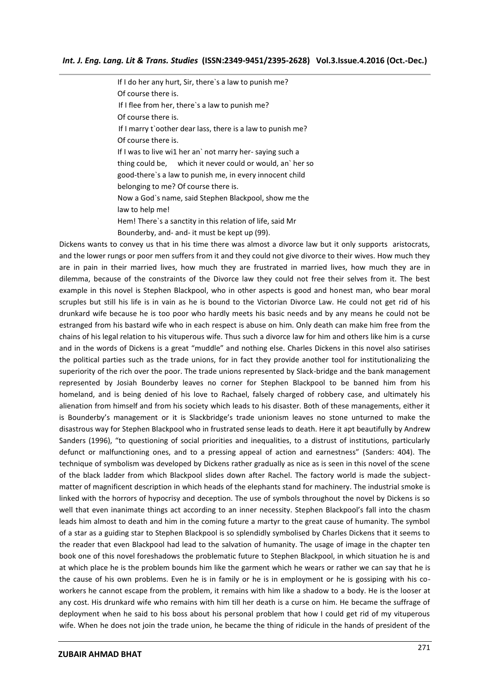If I do her any hurt, Sir, there`s a law to punish me? Of course there is. If I flee from her, there`s a law to punish me? Of course there is. If I marry t`oother dear lass, there is a law to punish me? Of course there is. If I was to live wi1 her an' not marry her-saying such a thing could be, which it never could or would, an` her so good-there`s a law to punish me, in every innocent child belonging to me? Of course there is. Now a God`s name, said Stephen Blackpool, show me the law to help me! Hem! There`s a sanctity in this relation of life, said Mr Bounderby, and- and- it must be kept up (99).

Dickens wants to convey us that in his time there was almost a divorce law but it only supports aristocrats, and the lower rungs or poor men suffers from it and they could not give divorce to their wives. How much they are in pain in their married lives, how much they are frustrated in married lives, how much they are in dilemma, because of the constraints of the Divorce law they could not free their selves from it. The best example in this novel is Stephen Blackpool, who in other aspects is good and honest man, who bear moral scruples but still his life is in vain as he is bound to the Victorian Divorce Law. He could not get rid of his drunkard wife because he is too poor who hardly meets his basic needs and by any means he could not be estranged from his bastard wife who in each respect is abuse on him. Only death can make him free from the chains of his legal relation to his vituperous wife. Thus such a divorce law for him and others like him is a curse and in the words of Dickens is a great "muddle" and nothing else. Charles Dickens in this novel also satirises the political parties such as the trade unions, for in fact they provide another tool for institutionalizing the superiority of the rich over the poor. The trade unions represented by Slack-bridge and the bank management represented by Josiah Bounderby leaves no corner for Stephen Blackpool to be banned him from his homeland, and is being denied of his love to Rachael, falsely charged of robbery case, and ultimately his alienation from himself and from his society which leads to his disaster. Both of these managements, either it is Bounderby's management or it is Slackbridge's trade unionism leaves no stone unturned to make the disastrous way for Stephen Blackpool who in frustrated sense leads to death. Here it apt beautifully by Andrew Sanders (1996), "to questioning of social priorities and inequalities, to a distrust of institutions, particularly defunct or malfunctioning ones, and to a pressing appeal of action and earnestness" (Sanders: 404). The technique of symbolism was developed by Dickens rather gradually as nice as is seen in this novel of the scene of the black ladder from which Blackpool slides down after Rachel. The factory world is made the subjectmatter of magnificent description in which heads of the elephants stand for machinery. The industrial smoke is linked with the horrors of hypocrisy and deception. The use of symbols throughout the novel by Dickens is so well that even inanimate things act according to an inner necessity. Stephen Blackpool's fall into the chasm leads him almost to death and him in the coming future a martyr to the great cause of humanity. The symbol of a star as a guiding star to Stephen Blackpool is so splendidly symbolised by Charles Dickens that it seems to the reader that even Blackpool had lead to the salvation of humanity. The usage of image in the chapter ten book one of this novel foreshadows the problematic future to Stephen Blackpool, in which situation he is and at which place he is the problem bounds him like the garment which he wears or rather we can say that he is the cause of his own problems. Even he is in family or he is in employment or he is gossiping with his coworkers he cannot escape from the problem, it remains with him like a shadow to a body. He is the looser at any cost. His drunkard wife who remains with him till her death is a curse on him. He became the suffrage of deployment when he said to his boss about his personal problem that how I could get rid of my vituperous wife. When he does not join the trade union, he became the thing of ridicule in the hands of president of the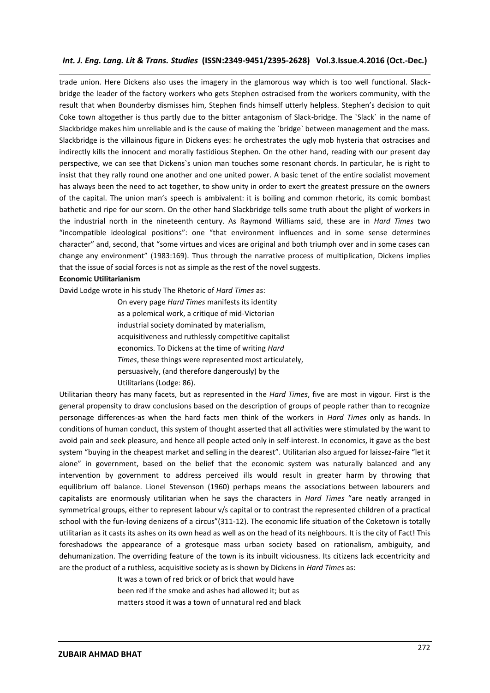trade union. Here Dickens also uses the imagery in the glamorous way which is too well functional. Slackbridge the leader of the factory workers who gets Stephen ostracised from the workers community, with the result that when Bounderby dismisses him, Stephen finds himself utterly helpless. Stephen's decision to quit Coke town altogether is thus partly due to the bitter antagonism of Slack-bridge. The `Slack` in the name of Slackbridge makes him unreliable and is the cause of making the `bridge` between management and the mass. Slackbridge is the villainous figure in Dickens eyes: he orchestrates the ugly mob hysteria that ostracises and indirectly kills the innocent and morally fastidious Stephen. On the other hand, reading with our present day perspective, we can see that Dickens`s union man touches some resonant chords. In particular, he is right to insist that they rally round one another and one united power. A basic tenet of the entire socialist movement has always been the need to act together, to show unity in order to exert the greatest pressure on the owners of the capital. The union man's speech is ambivalent: it is boiling and common rhetoric, its comic bombast bathetic and ripe for our scorn. On the other hand Slackbridge tells some truth about the plight of workers in the industrial north in the nineteenth century. As Raymond Williams said, these are in *Hard Times* two "incompatible ideological positions": one "that environment influences and in some sense determines character" and, second, that "some virtues and vices are original and both triumph over and in some cases can change any environment" (1983:169). Thus through the narrative process of multiplication, Dickens implies that the issue of social forces is not as simple as the rest of the novel suggests.

#### **Economic Utilitarianism**

David Lodge wrote in his study The Rhetoric of *Hard Times* as:

On every page *Hard Times* manifests its identity as a polemical work, a critique of mid-Victorian industrial society dominated by materialism, acquisitiveness and ruthlessly competitive capitalist economics. To Dickens at the time of writing *Hard Times*, these things were represented most articulately, persuasively, (and therefore dangerously) by the Utilitarians (Lodge: 86).

Utilitarian theory has many facets, but as represented in the *Hard Times*, five are most in vigour. First is the general propensity to draw conclusions based on the description of groups of people rather than to recognize personage differences-as when the hard facts men think of the workers in *Hard Times* only as hands. In conditions of human conduct, this system of thought asserted that all activities were stimulated by the want to avoid pain and seek pleasure, and hence all people acted only in self-interest. In economics, it gave as the best system "buying in the cheapest market and selling in the dearest". Utilitarian also argued for laissez-faire "let it alone" in government, based on the belief that the economic system was naturally balanced and any intervention by government to address perceived ills would result in greater harm by throwing that equilibrium off balance. Lionel Stevenson (1960) perhaps means the associations between labourers and capitalists are enormously utilitarian when he says the characters in *Hard Times* "are neatly arranged in symmetrical groups, either to represent labour v/s capital or to contrast the represented children of a practical school with the fun-loving denizens of a circus"(311-12). The economic life situation of the Coketown is totally utilitarian as it casts its ashes on its own head as well as on the head of its neighbours. It is the city of Fact! This foreshadows the appearance of a grotesque mass urban society based on rationalism, ambiguity, and dehumanization. The overriding feature of the town is its inbuilt viciousness. Its citizens lack eccentricity and are the product of a ruthless, acquisitive society as is shown by Dickens in *Hard Times* as:

> It was a town of red brick or of brick that would have been red if the smoke and ashes had allowed it; but as matters stood it was a town of unnatural red and black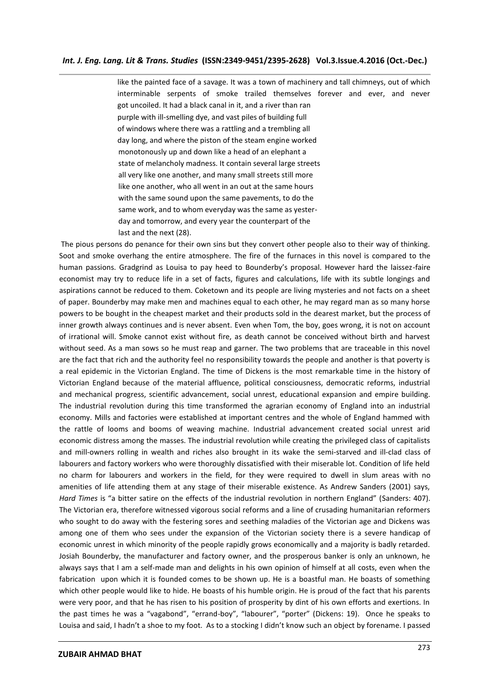like the painted face of a savage. It was a town of machinery and tall chimneys, out of which interminable serpents of smoke trailed themselves forever and ever, and never got uncoiled. It had a black canal in it, and a river than ran purple with ill-smelling dye, and vast piles of building full of windows where there was a rattling and a trembling all day long, and where the piston of the steam engine worked monotonously up and down like a head of an elephant a state of melancholy madness. It contain several large streets all very like one another, and many small streets still more like one another, who all went in an out at the same hours with the same sound upon the same pavements, to do the same work, and to whom everyday was the same as yesterday and tomorrow, and every year the counterpart of the last and the next (28).

The pious persons do penance for their own sins but they convert other people also to their way of thinking. Soot and smoke overhang the entire atmosphere. The fire of the furnaces in this novel is compared to the human passions. Gradgrind as Louisa to pay heed to Bounderby's proposal. However hard the laissez-faire economist may try to reduce life in a set of facts, figures and calculations, life with its subtle longings and aspirations cannot be reduced to them. Coketown and its people are living mysteries and not facts on a sheet of paper. Bounderby may make men and machines equal to each other, he may regard man as so many horse powers to be bought in the cheapest market and their products sold in the dearest market, but the process of inner growth always continues and is never absent. Even when Tom, the boy, goes wrong, it is not on account of irrational will. Smoke cannot exist without fire, as death cannot be conceived without birth and harvest without seed. As a man sows so he must reap and garner. The two problems that are traceable in this novel are the fact that rich and the authority feel no responsibility towards the people and another is that poverty is a real epidemic in the Victorian England. The time of Dickens is the most remarkable time in the history of Victorian England because of the material affluence, political consciousness, democratic reforms, industrial and mechanical progress, scientific advancement, social unrest, educational expansion and empire building. The industrial revolution during this time transformed the agrarian economy of England into an industrial economy. Mills and factories were established at important centres and the whole of England hammed with the rattle of looms and booms of weaving machine. Industrial advancement created social unrest arid economic distress among the masses. The industrial revolution while creating the privileged class of capitalists and mill-owners rolling in wealth and riches also brought in its wake the semi-starved and ill-clad class of labourers and factory workers who were thoroughly dissatisfied with their miserable lot. Condition of life held no charm for labourers and workers in the field, for they were required to dwell in slum areas with no amenities of life attending them at any stage of their miserable existence. As Andrew Sanders (2001) says, *Hard Times* is "a bitter satire on the effects of the industrial revolution in northern England" (Sanders: 407). The Victorian era, therefore witnessed vigorous social reforms and a line of crusading humanitarian reformers who sought to do away with the festering sores and seething maladies of the Victorian age and Dickens was among one of them who sees under the expansion of the Victorian society there is a severe handicap of economic unrest in which minority of the people rapidly grows economically and a majority is badly retarded. Josiah Bounderby, the manufacturer and factory owner, and the prosperous banker is only an unknown, he always says that I am a self-made man and delights in his own opinion of himself at all costs, even when the fabrication upon which it is founded comes to be shown up. He is a boastful man. He boasts of something which other people would like to hide. He boasts of his humble origin. He is proud of the fact that his parents were very poor, and that he has risen to his position of prosperity by dint of his own efforts and exertions. In the past times he was a "vagabond", "errand-boy", "labourer", "porter" (Dickens: 19). Once he speaks to Louisa and said, I hadn't a shoe to my foot. As to a stocking I didn't know such an object by forename. I passed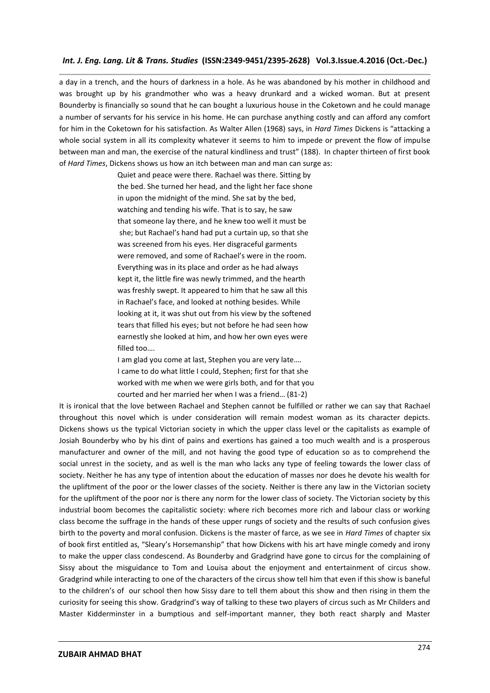a day in a trench, and the hours of darkness in a hole. As he was abandoned by his mother in childhood and was brought up by his grandmother who was a heavy drunkard and a wicked woman. But at present Bounderby is financially so sound that he can bought a luxurious house in the Coketown and he could manage a number of servants for his service in his home. He can purchase anything costly and can afford any comfort for him in the Coketown for his satisfaction. As Walter Allen (1968) says, in *Hard Times* Dickens is "attacking a whole social system in all its complexity whatever it seems to him to impede or prevent the flow of impulse between man and man, the exercise of the natural kindliness and trust" (188). In chapter thirteen of first book of *Hard Times*, Dickens shows us how an itch between man and man can surge as:

> Quiet and peace were there. Rachael was there. Sitting by the bed. She turned her head, and the light her face shone in upon the midnight of the mind. She sat by the bed, watching and tending his wife. That is to say, he saw that someone lay there, and he knew too well it must be she; but Rachael's hand had put a curtain up, so that she was screened from his eyes. Her disgraceful garments were removed, and some of Rachael's were in the room. Everything was in its place and order as he had always kept it, the little fire was newly trimmed, and the hearth was freshly swept. It appeared to him that he saw all this in Rachael's face, and looked at nothing besides. While looking at it, it was shut out from his view by the softened tears that filled his eyes; but not before he had seen how earnestly she looked at him, and how her own eyes were filled too….

> I am glad you come at last, Stephen you are very late…. I came to do what little I could, Stephen; first for that she worked with me when we were girls both, and for that you courted and her married her when I was a friend… (81-2)

It is ironical that the love between Rachael and Stephen cannot be fulfilled or rather we can say that Rachael throughout this novel which is under consideration will remain modest woman as its character depicts. Dickens shows us the typical Victorian society in which the upper class level or the capitalists as example of Josiah Bounderby who by his dint of pains and exertions has gained a too much wealth and is a prosperous manufacturer and owner of the mill, and not having the good type of education so as to comprehend the social unrest in the society, and as well is the man who lacks any type of feeling towards the lower class of society. Neither he has any type of intention about the education of masses nor does he devote his wealth for the upliftment of the poor or the lower classes of the society. Neither is there any law in the Victorian society for the upliftment of the poor nor is there any norm for the lower class of society. The Victorian society by this industrial boom becomes the capitalistic society: where rich becomes more rich and labour class or working class become the suffrage in the hands of these upper rungs of society and the results of such confusion gives birth to the poverty and moral confusion. Dickens is the master of farce, as we see in *Hard Times* of chapter six of book first entitled as, "Sleary's Horsemanship" that how Dickens with his art have mingle comedy and irony to make the upper class condescend. As Bounderby and Gradgrind have gone to circus for the complaining of Sissy about the misguidance to Tom and Louisa about the enjoyment and entertainment of circus show. Gradgrind while interacting to one of the characters of the circus show tell him that even if this show is baneful to the children's of our school then how Sissy dare to tell them about this show and then rising in them the curiosity for seeing this show. Gradgrind's way of talking to these two players of circus such as Mr Childers and Master Kidderminster in a bumptious and self-important manner, they both react sharply and Master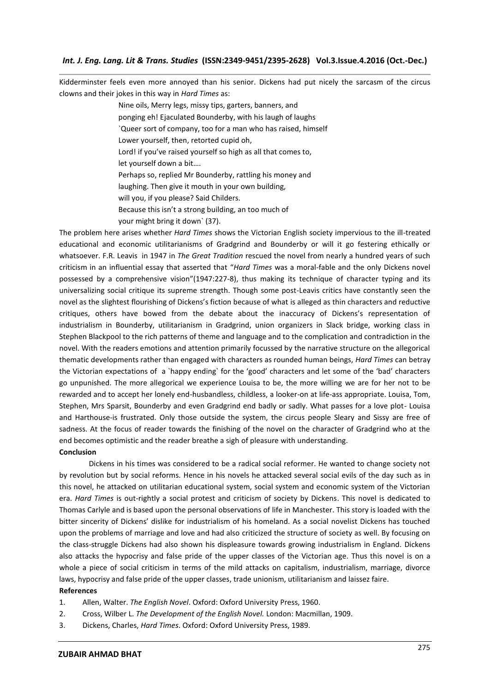Kidderminster feels even more annoyed than his senior. Dickens had put nicely the sarcasm of the circus clowns and their jokes in this way in *Hard Times* as:

> Nine oils, Merry legs, missy tips, garters, banners, and ponging eh! Ejaculated Bounderby, with his laugh of laughs `Queer sort of company, too for a man who has raised, himself Lower yourself, then, retorted cupid oh, Lord! if you've raised yourself so high as all that comes to, let yourself down a bit…. Perhaps so, replied Mr Bounderby, rattling his money and laughing. Then give it mouth in your own building, will you, if you please? Said Childers. Because this isn't a strong building, an too much of your might bring it down` (37).

The problem here arises whether *Hard Times* shows the Victorian English society impervious to the ill-treated educational and economic utilitarianisms of Gradgrind and Bounderby or will it go festering ethically or whatsoever. F.R. Leavis in 1947 in *The Great Tradition* rescued the novel from nearly a hundred years of such criticism in an influential essay that asserted that "*Hard Times* was a moral-fable and the only Dickens novel possessed by a comprehensive vision"(1947:227-8), thus making its technique of character typing and its universalizing social critique its supreme strength. Though some post-Leavis critics have constantly seen the novel as the slightest flourishing of Dickens's fiction because of what is alleged as thin characters and reductive critiques, others have bowed from the debate about the inaccuracy of Dickens's representation of industrialism in Bounderby, utilitarianism in Gradgrind, union organizers in Slack bridge, working class in Stephen Blackpool to the rich patterns of theme and language and to the complication and contradiction in the novel. With the readers emotions and attention primarily focussed by the narrative structure on the allegorical thematic developments rather than engaged with characters as rounded human beings, *Hard Times* can betray the Victorian expectations of a `happy ending` for the 'good' characters and let some of the 'bad' characters go unpunished. The more allegorical we experience Louisa to be, the more willing we are for her not to be rewarded and to accept her lonely end-husbandless, childless, a looker-on at life-ass appropriate. Louisa, Tom, Stephen, Mrs Sparsit, Bounderby and even Gradgrind end badly or sadly. What passes for a love plot- Louisa and Harthouse-is frustrated. Only those outside the system, the circus people Sleary and Sissy are free of sadness. At the focus of reader towards the finishing of the novel on the character of Gradgrind who at the end becomes optimistic and the reader breathe a sigh of pleasure with understanding.

#### **Conclusion**

Dickens in his times was considered to be a radical social reformer. He wanted to change society not by revolution but by social reforms. Hence in his novels he attacked several social evils of the day such as in this novel, he attacked on utilitarian educational system, social system and economic system of the Victorian era. *Hard Times* is out-rightly a social protest and criticism of society by Dickens. This novel is dedicated to Thomas Carlyle and is based upon the personal observations of life in Manchester. This story is loaded with the bitter sincerity of Dickens' dislike for industrialism of his homeland. As a social novelist Dickens has touched upon the problems of marriage and love and had also criticized the structure of society as well. By focusing on the class-struggle Dickens had also shown his displeasure towards growing industrialism in England. Dickens also attacks the hypocrisy and false pride of the upper classes of the Victorian age. Thus this novel is on a whole a piece of social criticism in terms of the mild attacks on capitalism, industrialism, marriage, divorce laws, hypocrisy and false pride of the upper classes, trade unionism, utilitarianism and laissez faire.

### **References**

- 1. Allen, Walter. *The English Novel*. Oxford: Oxford University Press, 1960.
- 2. Cross, Wilber L. *The Development of the English Novel.* London: Macmillan, 1909.
- 3. Dickens, Charles, *Hard Times*. Oxford: Oxford University Press, 1989.